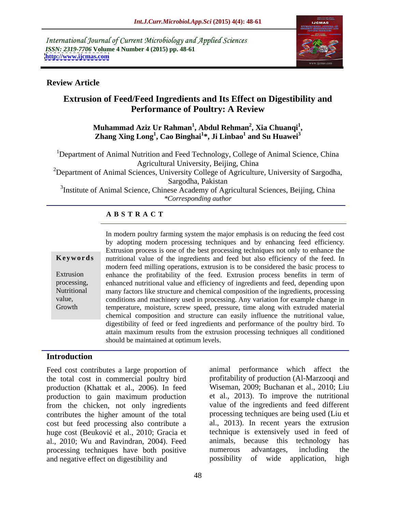International Journal of Current Microbiology and Applied Sciences *ISSN: 2319-7706* **Volume 4 Number 4 (2015) pp. 48-61 <http://www.ijcmas.com>**



### **Review Article**

# **Extrusion of Feed/Feed Ingredients and Its Effect on Digestibility and Performance of Poultry: A Review**

### **Muhammad Aziz Ur Rahman<sup>1</sup> , Abdul Rehman<sup>2</sup> , Xia Chuanqi<sup>1</sup>** Muhammad Aziz Ur Rahman<sup>1</sup>, Abdul Rehman<sup>2</sup>, Xia Chuanqi<sup>1</sup>,<br>Zhang Xing Long<sup>1</sup>, Cao Binghai<sup>1</sup>\*, Ji Linbao<sup>1</sup> and Su Huawei<sup>3</sup> **and Su Huawei<sup>3</sup>**

<sup>1</sup>Department of Animal Nutrition and Feed Technology, College of Animal Science, China Agricultural University, Beijing, China

<sup>2</sup>Department of Animal Sciences, University College of Agriculture, University of Sargodha, Sargodha, Pakistan

<sup>3</sup>Institute of Animal Science, Chinese Academy of Agricultural Sciences, Beijing, China *\*Corresponding author*

### **A B S T R A C T**

Growth

In modern poultry farming system the major emphasis is on reducing the feed cost by adopting modern processing techniques and by enhancing feed efficiency. Extrusion process is one of the best processing techniques not only to enhance the nutritional value of the ingredients and feed but also efficiency of the feed. In **Ke ywords** modern feed milling operations, extrusion is to be considered the basic process to Extrusion enhance the profitability of the feed. Extrusion process benefits in term of enhanced nutritional value and efficiency of ingredients and feed, depending upon processing, many factors like structure and chemical composition of the ingredients, processing Nutritional value, conditions and machinery used in processing. Any variation for example change in temperature, moisture, screw speed, pressure, time along with extruded material chemical composition and structure can easily influence the nutritional value, digestibility of feed or feed ingredients and performance of the poultry bird. To attain maximum results from the extrusion processing techniques all conditioned should be maintained at optimum levels.

### **Introduction**

Feed cost contributes a large proportion of the total cost in commercial poultry bird production (Khattak et al., 2006). In feed production to gain maximum production from the chicken, not only ingredients contributes the higher amount of the total cost but feed processing also contribute a huge cost (Beuković et al., 2010; Gracia et al., 2010; Wu and Ravindran, 2004). Feed animals, because this technology has processing techniques have both positive numerous advantages, including the processing techniques have both positive numerous advantages, including the and negative effect on digestibility and possibility of wide application, high

animal performance which affect the profitability of production (Al-Marzooqi and Wiseman, 2009; Buchanan et al., 2010; Liu et al., 2013). To improve the nutritional value of the ingredients and feed different processing techniques are being used (Liu et al., 2013). In recent years the extrusion technique is extensively used in feed of animals, because this technology has numerous advantages, including the possibility of wide application,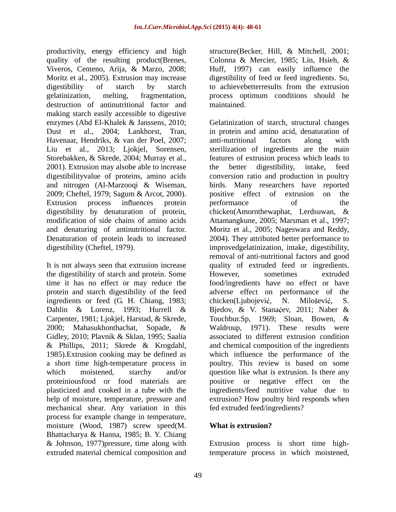productivity, energy efficiency and high quality of the resulting product(Brenes, Viveros, Centeno, Arija, & Marzo, 2008; Huff, 1997) can easily influence the Moritz et al., 2005). Extrusion may increase digestibility of feed or feed ingredients. So, digestibility of starch by starch to achieve better results from the extrusion gelatinization, melting, fragmentation, process optimum conditions should be destruction of antinutritional factor and maintained. making starch easily accessible to digestive Havenaar, Hendriks, & van der Poel, 2007; Liu et al., 2013; Ljokjel, Sorensen, 2001). Extrusion may alsobe able to increase the better digestibility, intake, feed

It is not always seen that extrusion increase the digestibility of starch and protein. Some ingredients or feed (G. H. Chiang, 1983; chicken(Ljubojević, N. Milošević, S. Gidley, 2010; Plavnik & Sklan, 1995; Saalia 1985).Extrusion cooking may be defined as proteiniousfood or food materials are mechanical shear. Any variation in this process for example change in temperature, moisture (Wood, 1987) screw speed(M. What is extrusion? Bhattacharya & Hanna, 1985; B. Y. Chiang & Johnson, 1977)pressure, time along with Extrusion process is short time high-

structure(Becker, Hill, & Mitchell, 2001; Colonna & Mercier, 1985; Lin, Hsieh, & to achievebetterresults from the extrusion maintained.

enzymes (Abd El-Khalek & Janssens, 2010; Gelatinization of starch, structural changes Dust et al., 2004; Lankhorst, Tran, in protein and amino acid, denaturation of Storebakken, & Skrede, 2004; Murray et al., features of extrusion process which leads to digestibilityvalue of proteins, amino acids conversion ratio and production in poultry and nitrogen (Al-Marzooqi & Wiseman, birds. Many researchers have reported 2009; Cheftel, 1979; Sagum & Arcot, 2000). Extrusion process in uences protein digestibility by denaturation of protein, chicken(Amornthewaphat, Lerdsuwan, & modification of side chains of amino acids Attamangkune, 2005; Marsman et al., 1997; and denaturing of antinutritional factor. Moritz et al., 2005; Nageswara and Reddy, Denaturation of protein leads to increased 2004). They attributed better performance to digestibility (Cheftel, 1979). improvedgelatinization, intake, digestibility, time it has no effect or may reduce the food/ingredients have no effect or have protein and starch digestibility of the feed adverse effect on performance of the Dahlin & Lorenz, 1993; Hurrell & Bjedov, & V. Stanaćev, 2011; Naber & Carpenter, 1981; Ljokjel, Harstad, & Skrede, Touchbur.Sp, 1969; Sloan, Bowen, & 2000; Mahasukhonthachat, Sopade, & Waldroup, 1971). These results were & Phillips, 2011; Skrede & Krogdahl, and chemical composition of the ingredients a short time high-temperature process in poultry. This review is based on some which moistened, starchy and/or question like what is extrusion. Is there any plasticized and cooked in a tube with the ingredients/feed nutritive value due to help of moisture, temperature, pressure and extrusion? How poultry bird responds when anti-nutritional factors along with sterilization of ingredients are the main the better digestibility, intake, feed positive effect of extrusion on the performance of the removal of anti-nutritional factors and good quality of extruded feed or ingredients. However, sometimes extruded chicken(Ljubojević, N. Milošević, S. associated to different extrusion condition which influence the performance of the positive or negative effect on the fed extruded feed/ingredients?

## **What is extrusion?**

extruded material chemical composition and temperature process in which moistened,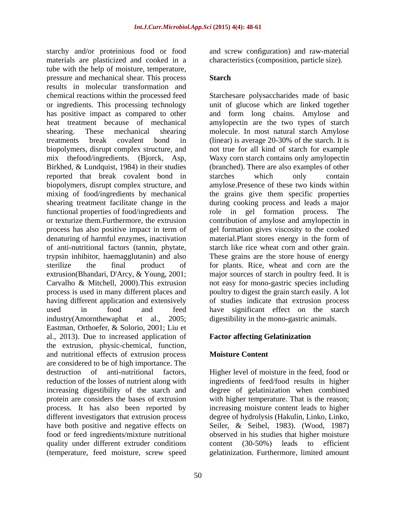starchy and/or proteinious food or food and screw configuration) and raw-material materials are plasticized and cooked in a characteristics (composition, particle size). tube with the help of moisture, temperature, pressure and mechanical shear. This process results in molecular transformation and reported that break covalent bond in starches which only contain functional properties of food/ingredients and  $\qquad$  role in gel formation process. The of anti-nutritional factors (tannin, phytate, Eastman, Orthoefer, & Solorio, 2001; Liu et al., 2013). Due to increased application of the extrusion, physic-chemical, function, and nutritional effects of extrusion process are considered to be of high importance. The destruction of anti-nutritional factors. destruction of anti-nutritional factors, Higher level of moisture in the feed, food or reduction of the losses of nutrient along with ingredients of feed/food results in higher increasing digestibility of the starch and degree of gelatinization when combined protein are considers the bases of extrusion with higher temperature. That is the reason; process. It has also been reported by increasing moisture content leads to higher different investigators that extrusion process degree of hydrolysis (Hakulin, Linko, Linko, have both positive and negative effects on food or feed ingredients/mixture nutritional observed in his studies that higher moisture quality under different extruder conditions content (30-50%) leads to efficient (temperature, feed moisture, screw speed gelatinization. Furthermore, limited amount

### **Starch Starch Starch** *Starth Starth*

chemical reactions within the processed feed Starchesare polysaccharides made of basic or ingredients. This processing technology unit of glucose which are linked together has positive impact as compared to other and form long chains. Amylose and heat treatment because of mechanical amylopectin are the two types of starch shearing. These mechanical shearing molecule. In most natural starch Amylose treatments break covalent bond in (linear) is average 20-30% of the starch. It is biopolymers, disrupt complex structure, and not true for all kind of starch for example mix thefood/ingredients. (Bjorck, Asp, Waxy corn starch contains only amylopectin Birkhed, & Lundquist, 1984) in their studies (branched). There are also examples of other biopolymers, disrupt complex structure, and amylose.Presence of these two kinds within mixing of food/ingredients by mechanical the grains give them specific properties shearing treatment facilitate change in the during cooking process and leads a major or texturize them.Furthermore, the extrusion contribution of amylose and amylopectin in process has also positive impact in term of gel formation gives viscosity to the cooked denaturing of harmful enzymes, inactivation material.Plant stores energy in the form of trypsin inhibitor, haemagglutanin) and also These grains are the store house of energy sterilize the final product of for plants. Rice, wheat and corn are the extrusion(Bhandari, D'Arcy, & Young, 2001; major sources of starch in poultry feed. It is Carvalho & Mitchell, 2000). This extrusion hot easy for mono-gastric species including process is used in many different places and poultry to digest the grain starch easily. A lot having different application and extensively of studies indicate that extrusion process used in food and feed have significant effect on the starch industry(Amornthewaphat et al., 2005; digestibility in the mono-gastric animals. starches which only contain role in gel formation process. starch like rice wheat corn and other grain.

# **Factor affecting Gelatinization**

## **Moisture Content**

Seiler, & Seibel, 1983). (Wood, 1987)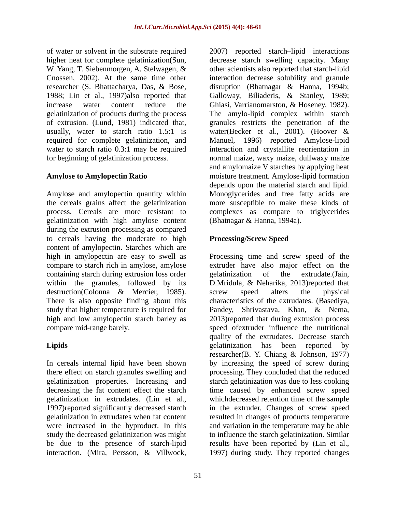of water or solvent in the substrate required 2007) reported starch lipid interactions increase water content reduce the Ghiasi, Varrianomarston, & Hoseney, 1982). gelatinization of products during the process required for complete gelatinization, and

Amylose and amylopectin quantity within Monoglycerides and free fatty acids are the cereals grains affect the gelatinization more susceptible to make these kinds of process. Cereals are more resistant to complexes as compare to triglycerides gelatinization with high amylose content during the extrusion processing as compared to cereals having the moderate to high content of amylopectin. Starches which are high in amylopectin are easy to swell as Processing time and screw speed of the compare to starch rich in amylose, amylose containing starch during extrusion loss order egelatinization of the extrudate. (Jain, within the granules, followed by its D.Mridula, & Neharika, 2013)reported that destruction(Colonna & Mercier, 1985). Screw speed alters the physical<br>There is also opposite finding about this characteristics of the extrudates. (Basediya, study that higher temperature is required for Pandey, Shrivastava, Khan, & Nema, high and low amylopectin starch barley as 2013)reported that during extrusion process compare mid-range barely. speed ofextruder influence the nutritional

In cereals internal lipid have been shown study the decreased gelatinization was might interaction. (Mira, Persson, & Villwock, 1997) during study. They reported changes

higher heat for complete gelatinization(Sun, decrease starch swelling capacity. Many W. Yang, T. Siebenmorgen, A. Stelwagen, & other scientists also reported that starch-lipid Cnossen, 2002). At the same time other interaction decrease solubility and granule researcher (S. Bhattacharya, Das, & Bose, disruption (Bhatnagar & Hanna, 1994b; 1988; Lin et al., 1997)also reported that Galloway, Biliaderis, & Stanley, 1989; of extrusion. (Lund, 1981) indicated that, granules restricts the penetration of the usually, water to starch ratio 1.5:1 is water(Becker et al., 2001). (Hoover & water to starch ratio 0.3:1 may be required interaction and crystallite reorientation in for beginning of gelatinization process. normal maize, waxy maize, dullwaxy maize **Amylose to Amylopectin Ratio** moisture treatment. Amylose-lipid formation Ghiasi, Varrianomarston, & Hoseney, 1982). The amylo-lipid complex within starch Manuel, 1996) reported Amylose-lipid and amylomaize V starches by applying heat depends upon the material starch and lipid. (Bhatnagar & Hanna, 1994a).

## **Processing/Screw Speed**

**Lipids** elatinization has been reported by there effect on starch granules swelling and processing. They concluded that the reduced gelatinization properties. Increasing and starch gelatinization was due to less cooking decreasing the fat content effect the starch time caused by enhanced screw speed gelatinization in extrudates. (Lin et al., whichdecreased retention time of the sample 1997)reported significantly decreased starch in the extruder. Changes of screw speed gelatinization in extrudates when fat content resulted in changes of products temperature were increased in the byproduct. In this and variation in the temperature may be able be due to the presence of starch-lipid results have been reported by (Lin et al., extruder have also major effect on the gelatinization of the extrudate.(Jain, screw speed alters the physical characteristics of the extrudates. (Basediya, quality of the extrudates. Decrease starch gelatinization has been reported by researcher(B. Y. Chiang & Johnson, 1977) by increasing the speed of screw during to influence the starch gelatinization. Similar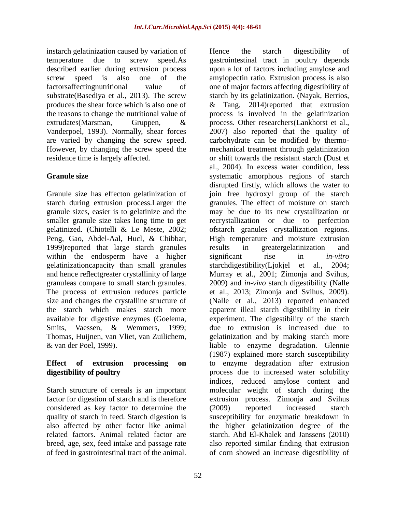instarch gelatinization caused by variation of Theore is the starch digestibility of Vanderpoel, 1993). Normally, shear forces

starch during extrusion process.Larger the 1999)reported that large starch granules results in greatergelatinization and within the endosperm have a higher significant rise in *in-vitro* gelatinizationcapacity than small granules starchdigestibility(Ljokjel et al., 2004; available for digestive enzymes (Goelema, & van der Poel, 1999).

factor for digestion of starch and is therefore considered as key factor to determine the (2009) reported increased starch<br>quality of starch in feed. Starch digestion is susceptibility for enzymatic breakdown in of feed in gastrointestinal tract of the animal. of corn showed an increase digestibility of

temperature due to screw speed.As gastrointestinal tract in poultry depends described earlier during extrusion process upon a lot of factors including amylose and screw speed is also one of the amylopectin ratio. Extrusion process is also factorsaffectingnutritional value of one of major factors affecting digestibility of substrate(Basediya et al., 2013). The screw starch by its gelatinization. (Nayak, Berrios, produces the shear force which is also one of & Tang, 2014)reported that extrusion the reasons to change the nutritional value of process is involved in the gelatinization extrudates(Marsman, Gruppen, & process. Other researchers(Lankhorst et al., are varied by changing the screw speed. carbohydrate can be modified by thermo- However, by changing the screw speed the mechanical treatment through gelatinization residence time is largely affected. or shift towards the resistant starch (Dust et Granule size **Startup Systematic amorphous** regions of starch Granule size has effecton gelatinization of join free hydroxyl group of the starch granule sizes, easier is to gelatinize and the may be due to its new crystallization or smaller granule size takes long time to get recrystallization or due to perfection gelatinized. (Chiotelli & Le Meste, 2002; ofstarch granules crystallization regions. Peng, Gao, Abdel-Aal, Hucl, & Chibbar, High temperature and moisture extrusion and hence reflectgreater crystallinity of large Murray et al., 2001; Zimonja and Svihus, granuleas compare to small starch granules. 2009) and *in-vivo* starch digestibility (Nalle The process of extrusion reduces particle et al., 2013; Zimonja and Svihus, 2009). size and changes the crystalline structure of (Nalle et al., 2013) reported enhanced the starch which makes starch more apparent illeal starch digestibility in their Smits, Vaessen, & Wemmers, 1999; due to extrusion is increased due to Thomas, Huijnen, van Vliet, van Zuilichem, gelatinization and by making starch more **Effect of extrusion processing on** to enzyme degradation after extrusion **digestibility of poultry** process due to increased water solubility Starch structure of cereals is an important molecular weight of starch during the quality of starch in feed. Starch digestion is susceptibility for enzymatic breakdown in also affected by other factor like animal the higher gelatinization degree of the related factors. Animal related factor are starch. Abd El-Khalek and Janssens (2010) breed, age, sex, feed intake and passage rate also reported similar finding that extrusion Hence the starch digestibility of process. Other researchers(Lankhorst et al., 2007) also reported that the quality of al., 2004). In excess water condition, less disrupted firstly, which allows the water to granules. The effect of moisture on starch results in greatergelatinization and significant rise in *in-vitro* starchdigestibility(Ljokjel et al., experiment. The digestibility of the starch liable to enzyme degradation. Glennie (1987) explained more starch susceptibility indices, reduced amylose content and extrusion process. Zimonia and Svihus (2009) reported increased starch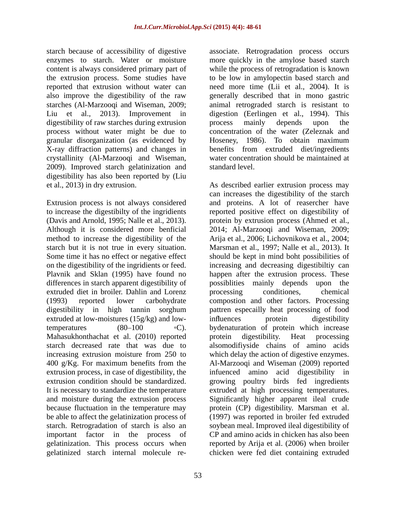content is always considered primary part of digestibility of raw starches during extrusion by process mainly depends upon the process without water might be due to X-ray diffraction patterns) and changes in crystallinity (Al-Marzooqi and Wiseman, 2009). Improved starch gelatinization and digestibility has also been reported by (Liu

starch but it is not true in every situation. extruded diet in broiler. Dahlin and Lorenz processing conditiones, chemical extruded at low-moistures (15g/kg) and low-<br>influences protein digestibility Mahasukhonthachat et al. (2010) reported protein digestibility. Heat processing 400 g/Kg. For maximum benefits from the gelatinization. This process occurs when gelatinized starch internal molecule re-chicken were fed diet containing extruded

starch because of accessibility of digestive associate. Retrogradation process occurs enzymes to starch. Water or moisture more quickly in the amylose based starch the extrusion process. Some studies have to be low in amylopectin based starch and reported that extrusion without water can need more time (Lii et al., 2004). It is also improve the digestibility of the raw generally described that in mono gastric starches (Al-Marzooqi and Wiseman, 2009; animal retrograded starch is resistant to Liu et al., 2013). Improvement in digestion (Eerlingen et al., 1994). This granular disorganization (as evidenced by Hoseney, 1986). To obtain maximum while the process of retrogradation is known process mainly depends upon the concentration of the water (Zeleznak and benefits from extruded diet/ingredients water concentration should be maintained at standard level.

et al., 2013) in dry extrusion. As described earlier extrusion process may Extrusion process is not always considered and proteins. A lot of reasercher have to increase the digestibilty of the ingridients reported positive effect on digestibility of (Davis and Arnold, 1995; Nalle et al., 2013). <br>Although it is considered more benficial 2014; Al-Marzooqi and Wiseman, 2009; method to increase the digestibility of the Arija et al., 2006; Lichovnikova et al., 2004; Some time it has no effect or negative effect should be kept in mind boht possibilities of on the digestibility of the ingridients or feed. increasing and decreasing digestibiltiy can Plavnik and Sklan (1995) have found no happen after the extrusion process. These differences in starch apparent digestibility of possiblities mainly depends upon the (1993) reported lower carbohydrate compostion and other factors. Processing digestibility in high tannin sorghum pattren especailly heat processing of food temperatures (80–100 °C). by denaturation of protein which increase starch decreased rate that was due to alsomodifiyside chains of amino acids increasing extrusion moisture from 250 to which delay the action of digestive enzymes. extrusion process, in case of digestibility, the infuenced amino acid digestibility in extrusion condition should be standardized. growing poultry birds fed ingredients It is necessary to standardize the temperature extruded at high processing temperatures. and moisture during the extrusion process Significantly higher apparent ileal crude because fluctuation in the temperature may protein (CP) digestibility. Marsman et al. be able to affect the gelatinization process of (1997) was reported in broiler fed extruded starch. Retrogradation of starch is also an soybean meal. Improved ileal digestibility of important factor in the process of CP and amino acids in chicken has also been can increases the digestibility of the starch protein by extrusion process (Ahmed et al., 2014; Al-Marzooqi and Wiseman, 2009; Marsman et al., 1997; Nalle et al., 2013). It processing conditiones, chemical influences protein digestibility protein digestibility. Heat processing Al-Marzooqi and Wiseman (2009) reported reported by Arija et al. (2006) when broiler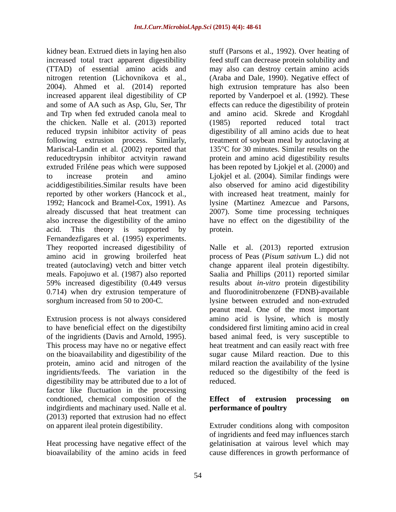kidney bean. Extrued diets in laying hen also increased total tract apparent digestibility feed stuff can decrease protein solubility and (TTAD) of essential amino acids and may also can destroy certain amino acids nitrogen retention (Lichovnikova et al., (Araba and Dale, 1990). Negative effect of 2004). Ahmed et al. (2014) reported increased apparent ileal digestibility of CP and some of AA such as Asp, Glu, Ser, Thr effects can reduce the digestibility of protein and Trp when fed extruded canola meal to and amino acid. Skrede and Krogdahl the chicken. Nalle et al. (2013) reported reduced trypsin inhibitor activity of peas digestibility of all amino acids due to heat following extrusion process. Similarly, treatment of soybean meal by autoclaving at Mariscal-Landin et al. (2002) reported that reducedtrypsin inhibitor actvityin rawand protein and amino acid digestibility results extruded Friléne peas which were supposed has been repoted by Ljokjel et al. (2000) and to increase protein and amino Ljokjel et al. (2004). Similar findings were aciddigestibilities.Similar results have been also observed for amino acid digestibility reported by other workers (Hancock et al., with increased heat treatment, mainly for 1992; Hancock and Bramel-Cox, 1991). As lysine (Martinez Amezcue and Parsons, already discussed that heat treatment can 2007). Some time processing techniques also increase the digestibility of the amino have no effect on the digestibility of the acid. This theory is supported by protein. Fernandezfigares et al. (1995) experiments.

on the bioavailability and digestibility of the digestibility may be attributed due to a lot of factor like fluctuation in the processing condtioned, chemical composition of the **Effect** of extrusion processing on indgirdients and machinary used. Nalle et al. (2013) reported that extrusion had no effect

bioavailability of the amino acids in feed cause differences in growth performance of

stuff (Parsons et al., 1992). Over heating of high extrusion temprature has also been reported by Vanderpoel et al. (1992). These (1985) reported reduced total tract 135°C for 30 minutes. Similar results on the protein.

They reoported increased digestibility of Nalle et al. (2013) reported extrusion amino acid in growing broilerfed heat process of Peas (*Pisum sativum* L.) did not treated (autoclaving) vetch and bitter vetch change apparent ileal protein digestibilty. meals. Fapojuwo et al. (1987) also reported Saalia and Phillips (2011) reported similar 59% increased digestibility (0.449 versus results about *in-vitro* protein digestibility 0.714) when dry extrusion temperature of and fluorodinitrobenzene (FDNB)-available sorghum increased from 50 to 200 °C. lysine between extruded and non-extruded Extrusion process is not always considered amino acid is lysine, which is mostly to have beneficial effect on the digestibilty condsidered first limiting amino acid in creal of the ingridients (Davis and Arnold, 1995). based animal feed, is very susceptible to<br>This process may have no or negative effect heat treatment and can easily react with free protein, amino acid and nitrogen of the milard reaction the availability of the lysine ingridients/feeds. The variation in the reduced so the digestibilty of the feed is peanut meal. One of the most important based animal feed, is very susceptible to heat treatment and can easily react with free sugar cause Milard reaction. Due to this reduced. **Example 20** is a set of the set of the set of the set of the set of the set of the set of the set of the set of the set of the set of the set of the set of the set of the set of the set of the set of the set of t

### **Effect of extrusion processing on performance of poultry**

on apparent ileal protein digestibility. Extruder conditions along with compositon Heat processing have negative effect of the gelatinisation at vairous level which may of ingridients and feed may influences starch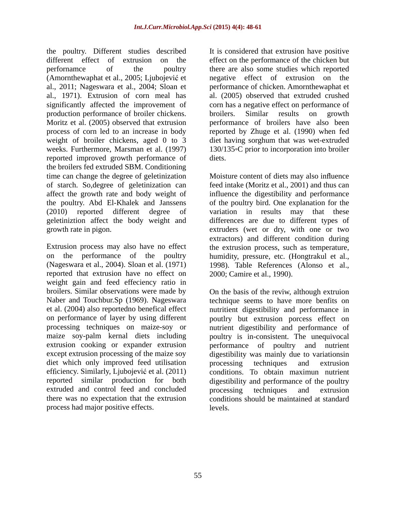the poultry. Different studies described It is considered that extrusion have positive different effect of extrusion on the effect on the performance of the chicken but perfornamce of the poultry there are also some studies which reported (Amornthewaphat et al., 2005; Ljubojević et energative effect of extrusion on the al., 2011; Nageswara et al., 2004; Sloan et al., 1971). Extrusion of corn meal has al. (2005) observed that extruded crushed significantly affected the improvement of corn has a negative effect on performance of production performance of broiler chickens. broilers. Similar results on growth Moritz et al. (2005) observed that extrusion performance of broilers have also been process of corn led to an increase in body reported by Zhuge et al. (1990) when fed weight of broiler chickens, aged 0 to 3 diet having sorghum that was wet-extruded weeks. Furthermore, Marsman et al. (1997) 130/135 °C prior to incorporation into broiler reported improved growth performance of the broilers fed extruded SBM. Conditioning

Extrusion process may also have no effect the extrusion process, such as temperature, on the performance of the poultry humidity, pressure, etc. (Hongtrakul et al., (Nageswara et al., 2004). Sloan et al. (1971) 1998). Table References (Alonso et al., reported that extrusion have no effect on 2000; Camire et al., 1990). weight gain and feed effeciency ratio in broilers. Similar observations were made by On the basis of the reviw, although extruion Naber and Touchbur.Sp (1969). Nageswara technique seems to have more benfits on et al. (2004) also reportedno benefical effect nutritient digestibility and performance in on performance of layer by using different poutlry but extrusion porcess effect on processing techniques on maize-soy or nutrient digestibility and performance of maize soy-palm kernal diets including poultry is in-consistent. The unequivocal extrusion cooking or expander extrusion performance of poultry and nutrient except extrusion processing of the maize soy digestibility was mainly due to variationsin diet which only improved feed utilisation by processing techniques and extrusion efficiency. Similarly, Ljubojević et al. (2011) conditions. To obtain maximun nutrient reported similar production for both digestibility and performance of the poultry extruded and control feed and concluded processing techniques and extrusion there was no expectation that the extrusion conditions should be maintained at standard process had major positive effects.

negative effect of extrusion on performance of chicken. Amornthewaphat et broilers. Similar results on growth diets.

time can change the degree of geletinization Moisture content of diets may also influence of starch. So,degree of geletinization can feed intake (Moritz et al., 2001) and thus can affect the growth rate and body weight of influence the digestibility and performance the poultry. Abd El-Khalek and Janssens of the poultry bird. One explanation for the (2010) reported different degree of variation in results may that these geletiniztion affect the body weight and differences are due to different types of growth rate in pigon. extruders (wet or dry, with one or two extractors) and different condition during 1998). Table References (Alonso et al., 2000; Camire et al., 1990).

> processing techniques and extrusion processing techniques and extrusion levels.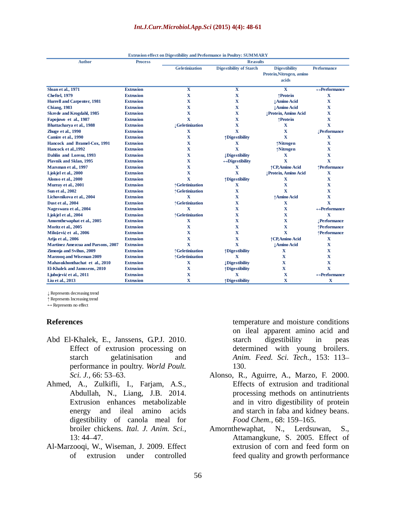|                                                          | <b>Extrusion effect on Digestibility and Performance in Poultry: SUMMARY</b> |                              |                                 |                            |                               |  |
|----------------------------------------------------------|------------------------------------------------------------------------------|------------------------------|---------------------------------|----------------------------|-------------------------------|--|
| <b>Author</b>                                            | <b>Process</b>                                                               |                              | <b>Reasults</b>                 |                            |                               |  |
|                                                          |                                                                              | Geletinization               | Digestibility of Starch         | <b>Digestibility</b>       | Performance                   |  |
|                                                          |                                                                              |                              |                                 | Protein, Nitrogen, amino   |                               |  |
|                                                          |                                                                              |                              |                                 | acids                      |                               |  |
|                                                          |                                                                              |                              |                                 |                            |                               |  |
| <b>Sloan et al., 1971</b>                                | <b>Extrusion</b>                                                             |                              |                                 | $\mathbf{X}$               | $\leftrightarrow$ Performance |  |
| <b>Cheftel, 1979</b>                                     | <b>Extrusion</b>                                                             |                              |                                 | ↑Protein                   |                               |  |
| <b>Hurrell and Carpenter, 1981</b>                       | <b>Extrusion</b>                                                             |                              |                                 | <b>JAmino Acid</b>         | $\mathbf{x}$                  |  |
| <b>Chiang, 1983</b>                                      | <b>Extrusion</b>                                                             |                              |                                 | <b>Amino Acid</b>          |                               |  |
| Skrede and Krogdahl, 1985                                | <b>Extrusion</b>                                                             |                              |                                 | <b>Protein, Amino Acid</b> |                               |  |
| Fapojuwo et al., 1987                                    | <b>Extrusion</b>                                                             | $\mathbf{v}$                 |                                 | $\uparrow$ Protein         |                               |  |
| Bhattacharya et al., 1988                                | <b>Extrusion</b>                                                             | <b>J</b> Geletinization      |                                 | $\mathbf{x}$               | $\overline{\mathbf{v}}$       |  |
| Zhuge et al., 1990                                       | <b>Extrusion</b>                                                             | $\mathbf{X}$                 |                                 |                            | <b>Performance</b>            |  |
| Camire et al., 1990                                      | <b>Extrusion</b>                                                             | $\mathbf{x}$                 | ↑Digestibility                  | $\mathbf{X}$               |                               |  |
| Hancock and Bramel-Cox, 1991                             | <b>Extrusion</b>                                                             |                              |                                 | ↑Nitrogen                  |                               |  |
| Hancock et al., 1992                                     | <b>Extrusion</b>                                                             |                              | $\mathbf{Y}$                    | ↑Nitrogen                  |                               |  |
| Dahlin and Lorenz, 1993                                  | <b>Extrusion</b>                                                             |                              | <b>Digestibility</b>            | $\mathbf{X}$               |                               |  |
| <b>Plavnik and Sklan, 1995</b>                           | <b>Extrusion</b>                                                             |                              | $\leftrightarrow$ Digestibility |                            |                               |  |
| Marsman et al., 1997                                     | <b>Extrusion</b>                                                             |                              |                                 | ↑ CP, Amino Acid           | ↑Performance                  |  |
| Ljokjel et al., 2000                                     | <b>Extrusion</b>                                                             | $\mathbf{Y}$                 |                                 | <b>Protein, Amino Acid</b> |                               |  |
| Alonso et al., 2000                                      | <b>Extrusion</b>                                                             | $\mathbf{X}$                 | ↑Digestibility                  |                            |                               |  |
| Murray et al., 2001                                      | <b>Extrusion</b>                                                             | ↑Geletinization              |                                 |                            |                               |  |
| Sun et al., 2002                                         | <b>Extrusion</b>                                                             | ↑Geletinization              |                                 |                            |                               |  |
| Lichovnikova et al., 2004                                | <b>Extrusion</b>                                                             | $\mathbf{X}$                 |                                 | ↑ Amino Acid               |                               |  |
| <b>Dust et al., 2004</b>                                 | <b>Extrusion</b>                                                             | ↑Geletinization              |                                 | $\mathbf{X}$               | $\mathbf{v}$                  |  |
| Nageswara et al., 2004                                   | <b>Extrusion</b>                                                             | $\mathbf{X}$                 |                                 | $\mathbf{v}$               | $\leftrightarrow$ Performance |  |
| Ljokjel et al., 2004                                     | <b>Extrusion</b>                                                             | ↑Geletinization              |                                 |                            | $\mathbf{X}$                  |  |
| Amornthe waphat et al., 2005                             | <b>Extrusion</b>                                                             | $\mathbf{x}$                 |                                 |                            | $\downarrow$ Performance      |  |
| Moritz et al., 2005                                      | <b>Extrusion</b>                                                             | $\mathbf{X}$                 |                                 |                            | ↑Performance                  |  |
| Milošević et al., 2006                                   | <b>Extrusion</b>                                                             | $\mathbf{v}$                 |                                 | $\mathbf{v}$               | ↑Performance                  |  |
|                                                          | <b>Extrusion</b>                                                             | $\mathbf{X}$                 |                                 | ↑ CP, Amino Acid           |                               |  |
| Arija et al., 2006<br>Martinez Amezcua and Parsons, 2007 | <b>Extrusion</b>                                                             | $\mathbf{v}$                 |                                 | <b>JAmino Acid</b>         |                               |  |
|                                                          |                                                                              | ↑Geletinization              | ↑Digestibility                  | $\mathbf{x}$               |                               |  |
| Zimonja and Svihus, 2009                                 | <b>Extrusion</b>                                                             |                              |                                 |                            |                               |  |
| Marzooq and Wiseman 2009                                 | <b>Extrusion</b>                                                             | ↑Geletinization              | $\mathbf{X}$                    |                            |                               |  |
| Mahasukhonthachat et al., 2010                           | <b>Extrusion</b>                                                             | $\mathbf{X}$<br>$\mathbf{v}$ | <b>Digestibility</b>            |                            |                               |  |
| <b>El-Khalek and Jamssens, 2010</b>                      | <b>Extrusion</b>                                                             |                              | ↑Digestibility                  |                            |                               |  |
| Ljubojević et al., 2011                                  | <b>Extrusion</b>                                                             |                              | $\mathbf{X}$                    |                            | $\leftrightarrow$ Performance |  |
| Liu et al., 2013                                         | <b>Extrusion</b>                                                             |                              | ↑Digestibility                  |                            | $\mathbf{X}$                  |  |
| ↓ Represents decreasing trend                            |                                                                              |                              |                                 |                            |                               |  |
| ↑ Represents Increasing trend                            |                                                                              |                              |                                 |                            |                               |  |
| $\leftrightarrow$ Represents no effect                   |                                                                              |                              |                                 |                            |                               |  |
|                                                          |                                                                              |                              |                                 |                            |                               |  |

- Abd El-Khalek, E., Janssens, G.P.J. 2010. Starch digestibility in peas performance in poultry. *World Poult.*
- Ahmed, A., Zulkifli, I., Farjam, A.S., digestibility of canola meal for Food Chem., 68:159-165.
- 

**References** temperature and moisture conditions Effect of extrusion processing on determined with young broilers. starch gelatinisation and *Anim. Feed. Sci. Tech.,* 153: 113 on ileal apparent amino acid and starch digestibility in peas 130.

- *Sci. J.*, 66: 53–63. **Alonso, R., Aguirre, A., Marzo, F. 2000. Alonso**, R., Aguirre, A., Marzo, F. 2000. Abdullah, N., Liang, J.B. 2014. processing methods on antinutrients Extrusion enhances metabolizable and in vitro digestibility of protein energy and ileal amino acids and starch in faba and kidney beans. Effects of extrusion and traditional *Food Chem.,* 68: 159–165.
- broiler chickens. *Ital. J. Anim. Sci.,* Amornthewaphat, N., Lerdsuwan, S., 13: 44 47. Attamangkune, S. 2005. Effect of Al-Marzooqi, W., Wiseman, J. 2009. Effect of extrusion under controlled feed quality and growth performanceextrusion of corn and feed form on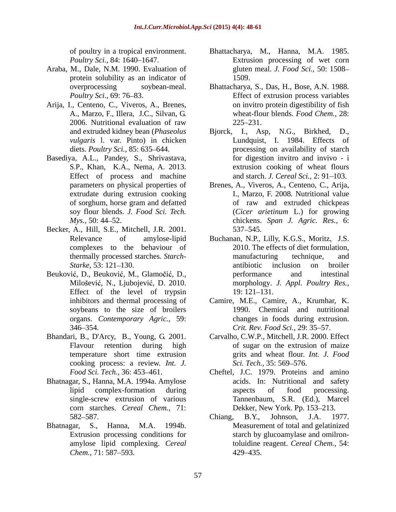- Araba, M., Dale, N.M. 1990. Evaluation of protein solubility as an indicator of 1509.
- Arija, I., Centeno, C., Viveros, A., Brenes,
- Basediya, A.L., Pandey, S., Shrivastava, Effect of process and machine
- Becker, A., Hill, S.E., Mitchell, J.R. 2001. complexes to the behaviour of
- Beuković, D., Beuković, M., Glamočić, D., entertained performance and intestinal Milošević, N., Ljubojević, D. 2010. Effect of the level of trypsin  $19: 121-131$ . organs. *Contemporary Agric.,* 59:
- Bhandari, B., D'Arcy, B., Young, G. 2001. cooking process: a review. *Int. J.*
- Bhatnagar, S., Hanna, M.A. 1994a. Amylose corn starches. *Cereal Chem.,* 71:
- 
- of poultry in a tropical environment. Bhattacharya, M., Hanna, M.A. 1985. *Poultry Sci.,* 84: 1640–1647. Extrusion processing of wet corn gluten meal. *J. Food Sci.,* 50: 1508 1509.
- overprocessing soybean-meal. Bhattacharya, S., Das, H., Bose, A.N. 1988. *Poultry Sci.*, 69: 76–83. Effect of extrusion process variables A., Marzo, F., Illera, J.C., Silvan, G. wheat-flour blends. *Food Chem.,* 28: 2006. Nutritional evaluation of raw on invitro protein digestibility of fish  $225 - 231$ .
- and extruded kidney bean (*Phaseolus*  Bjorck, I., Asp, N.G., Birkhed, D., *vulgaris* l. var. Pinto) in chicken Lundquist, I. 1984. Effects of diets. *Poultry Sci.*, 85: 635–644. **processing on availability of starch** S.P., Khan, K.A., Nema, A. 2013. extrusion cooking of wheat flours for digestion invitro and invivo - i and starch. *J. Cereal Sci.*, 2: 91–103.
- parameters on physical properties of Brenes, A., Viveros, A., Centeno, C., Arija, extrudate during extrusion cooking I., Marzo, F. 2008. Nutritional value of sorghum, horse gram and defatted soy flour blends. *J. Food Sci. Tech.* (*Cicer arietinum* L.) for growing *Mys.,* 50: 44 52. chickens. *Span J. Agric. Res.,* 6: Brenes, A., Viveros, A., Centeno, C., Arija, I., Marzo, F. 2008. Nutritional value of raw and extruded chickpeas 537 545.
- Relevance of amylose-lipid Buchanan, N.P., Lilly, K.G.S., Moritz, J.S. thermally processed starches. *Starch- Starke*, 53: 121–130. 2010. The effects of diet formulation, manufacturing technique, and performance and intestinal morphology. *J. Appl. Poultry Res.,* 19: 121–131.
- inhibitors and thermal processing of Camire, M.E., Camire, A., Krumhar, K. soybeans to the size of broilers 1990. Chemical and nutritional 346 354. *Crit. Rev. Food Sci.,* 29: 35 57. changes in foods during extrusion.
- Flavour retention during high of sugar on the extrusion of maize temperature short time extrusion grits and wheat flour. *Int. J. Food* Carvalho, C.W.P., Mitchell, J.R. 2000. Effect *Sci. Tech.,* 35: 569–576.
- Food Sci. Tech., 36: 453–461. Cheftel, J.C. 1979. Proteins and amino lipid complex-formation during aspects of food processing. single-screw extrusion of various Tannenbaum, S.R. (Ed.), Marcel acids. In: Nutritional and safety aspects of food processing. Tannenbaum, S.R. (Ed.), Marcel Dekker, New York. Pp. 153-213.
- 582–587. Chiang, B.Y., Johnson, J.A. 1977. Bhatnagar, S., Hanna, M.A. 1994b. Measurement of total and gelatinized Extrusion processing conditions for starch by glucoamylase and omilronamylose lipid complexing. *Cereal*  toluidine reagent. *Cereal Chem.,* 54: *Chem.,* 71: 587–593. 429–435. Chiang, B.Y., Johnson, J.A. 1977. 429 435.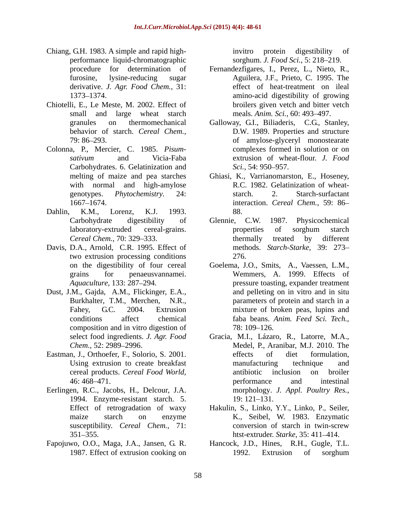- Chiang, G.H. 1983. A simple and rapid high-<br>invitro protein digestibility of performance liquid-chromatographic sorghum. *J. Food Sci.*, 5: 218–219. derivative. *J. Agr. Food Chem.,* 31:
- Chiotelli, E., Le Meste, M. 2002. Effect of small and large wheat starch
- Colonna, P., Mercier, C. 1985. *Pisum-* Carbohydrates. 6. Gelatinization and Sci., 54: 950–957.
- Dahlin, K.M., Lorenz, K.J. 1993.
- Davis, D.A., Arnold, C.R. 1995. Effect of two extrusion processing conditions
- Dust, J.M., Gajda, A.M., Flickinger, E.A., composition and in vitro digestion of  $78:109-126$ .
- 
- Eerlingen, R.C., Jacobs, H., Delcour, J.A. 1994. Enzyme-resistant starch. 5. susceptibility. *Cereal Chem.,* 71:
- Fapojuwo, O.O., Maga, J.A., Jansen, G. R.

invitro protein digestibility of

- procedure for determination of Fernandezfigares, I., Perez, L., Nieto, R., furosine, lysine-reducing sugar Aguilera, J.F., Prieto, C. 1995. The 1373 1374. amino-acid digestibility of growing effect of heat-treatment on ileal broilers given vetch and bitter vetch meals. *Anim. Sci.*, 60: 493–497.
- granules on thermomechanical Galloway, G.I., Biliaderis, C.G., Stanley, behavior of starch. *Cereal Chem.,* 79: 86 293. of amylose-glyceryl monostearate *sativum* and Vicia-Faba Galloway, G.I., Biliaderis, C.G., Stanley, D.W. 1989. Properties and structure complexes formed in solution or on extrusion of wheat-flour. *J. Food Sci.,* 54: 950–957.
- melting of maize and pea starches Ghiasi, K., Varrianomarston, E., Hoseney, with normal and high-amylose R.C. 1982. Gelatinization of wheatgenotypes. *Phytochemistry.* 24: 1667 1674. interaction. *Cereal Chem.,* 59: 86 Ghiasi, K., Varrianomarston, E., Hoseney, R.C. 1982. Gelatinization of wheat starch. 2. Starch-surfactant 88.
- Carbohydrate digestibility of Glennie, C.W. 1987. Physicochemical laboratory-extruded cereal-grains. *Cereal Chem., 70: 329–333. Cereal Chem., 70: 329–333. Cereal Chem., 70: 329–333. Cereal chem., 70: 329–333.* Glennie, C.W. 1987. Physicochemical properties of sorghum starch thermally treated by different methods. *Starch-Starke,* 39: 273 276.
- on the digestibility of four cereal Goelema, J.O., Smits, A., Vaessen, L.M., grains for penaeusvannamei. Wemmers, A. 1999. Effects of *Aquaculture,* 133: 287–294. pressure toasting, expander treatment Burkhalter, T.M., Merchen, N.R., parameters of protein and starch in a Fahey, G.C. 2004. Extrusion mixture of broken peas, lupins and conditions affect chemical faba beans. *Anim. Feed Sci. Tech.,* and pelleting on in vitro and in situ 78: 109–126.
- select food ingredients. *J. Agr. Food* Gracia, M.I., Lázaro, R., Latorre, M.A., *Chem.,* 52: 2989 2996. Medel, P., Aranibar, M.J. 2010. The Eastman, J., Orthoefer, F., Solorio, S. 2001. Using extrusion to create breakfast manufacturing technique and cereal products. *Cereal Food World,* 46: 468–471. The performance and intestinal effects of diet formulation, manufacturing technique and antibiotic inclusion on broiler performance and intestinal morphology. *J. Appl. Poultry Res.,* 19: 121–131.
	- Effect of retrogradation of waxy Hakulin, S., Linko, Y.Y., Linko, P., Seiler, maize starch on enzyme K., Seibel, W. 1983. Enzymatic 351 355. htst-extruder. *Starke,* 35: 411 414. conversion of starch in twin-screw
	- 1987. Effect of extrusion cooking on 1992. Extrusion of sorghum Hancock, J.D., Hines, R.H., Gugle, T.L. 1992. Extrusion of sorghum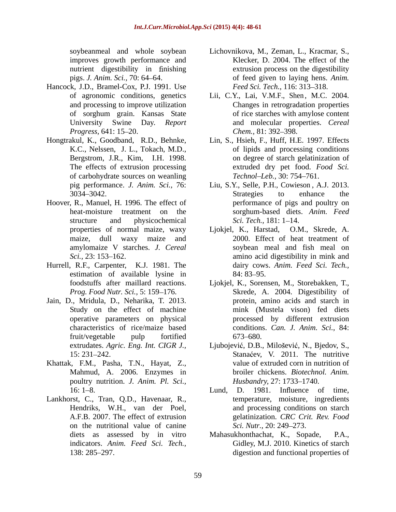improves growth performance and

- Hancock, J.D., Bramel-Cox, P.J. 1991. Use
- of carbohydrate sources on weanling Technol-Leb., 30: 754–761.
- Hoover, R., Manuel, H. 1996. The effect of
- Hurrell, R.F., Carpenter, K.J. 1981. The estimation of available lysine in 84:83-95.
- Jain, D., Mridula, D., Neharika, T. 2013. characteristics of rice/maize based
- Khattak, F.M., Pasha, T.N., Hayat, Z., Mahmud, A. 2006. Enzymes in poultry nutrition. *J. Anim. Pl. Sci.,*
- on the nutritional value of canine Sci. Nutr., 20: 249–273.
- soybeanmeal and whole soybean Lichovnikova, M., Zeman, L., Kracmar, S., nutrient digestibility in finishing extrusion process on the digestibility pigs. *J. Anim. Sci.,* 70: 64 64. of feed given to laying hens. *Anim.*  Klecker, D. 2004. The effect of the *Feed Sci. Tech., 116: 313-318.*
- of agronomic conditions, genetics Lii, C.Y., Lai, V.M.F., Shen, M.C. 2004. and processing to improve utilization Changes in retrogradation properties of sorghum grain. Kansas State University Swine Day. *Report*  and molecular properties. *Cereal Progress,* 641: 15–20. *Chem., 81: 392–398.* of rice starches with amylose content *Chem.,* 81: 392–398.
- Hongtrakul, K., Goodband, R.D., Behnke, Lin, S., Hsieh, F., Huff, H.E. 1997. Effects K.C., Nelssen, J. L., Tokach, M.D., of lipids and processing conditions Bergstrom, J.R., Kim, I.H. 1998. on degree of starch gelatinization of The effects of extrusion processing extruded dry pet food. *Food Sci.* of lipids and processing conditions *Technol–Leb.,* 30: 754–761.
	- pig performance. *J. Anim. Sci.,* 76: Liu, S.Y., Selle, P.H., Cowieson , A.J. 2013. 3034–3042. Strategies to enhance the heat-moisture treatment on the sorghum-based diets. *Anim. Feed* structure and physicochemical Sci. Tech., 181: 1–14. Strategies to enhance the performance of pigs and poultry on *Sci. Tech.,* 181: 1–14.
	- properties of normal maize, waxy Ljokjel, K., Harstad, O.M., Skrede, A. maize, dull waxy maize and 2000. Effect of heat treatment of amylomaize V starches. *J. Cereal* soybean meal and fish meal on *Sci.*, 23: 153–162. **amino** acid digestibility in mink and dairy cows. *Anim. Feed Sci. Tech.,* 84: 83–95.
	- foodstuffs after maillard reactions. Ljokjel, K., Sorensen, M., Storebakken, T., *Prog. Food Nutr. Sci.,* 5: 159–176. Skrede, A. 2004. Digestibility of Study on the effect of machine mink (Mustela vison) fed diets operative parameters on physical processed by different extrusion fruit/vegetable pulp fortified Ljokjel, K., Sorensen, M., Storebakken, T., Skrede, A. 2004. Digestibility of protein, amino acids and starch in conditions. *Can. J. Anim. Sci.,* 84: 673–680.
	- extrudates. *Agric. Eng. Int. CIGR J.,* 15: 231–242. Stanačev, V. 2011. The nutritive Ljubojević, D.B., Milošević, N., Bjedov, S.,<br>Stanaćev, V. 2011. The nutritive value of extruded corn in nutrition of broiler chickens. *Biotechnol. Anim. Husbandry, 27: 1733-1740.*
- 16: 1–8. Lund, D. 1981. Influence of time, Lankhorst, C., Tran, Q.D., Havenaar, R., temperature, moisture, ingredients<br>
Hendriks, W.H., van der Poel, and processing conditions on starch<br>
A.F.B. 2007. The effect of extrusion and processing conditions on starch<br>
gela temperature, moisture, ingredients and processing conditions on starch gelatinization. *CRC Crit. Rev. Food Sci. Nutr.,* 20: 249–273.
	- diets as assessed by in vitro Mahasukhonthachat, K., Sopade, P.A., indicators. *Anim. Feed Sci. Tech.,* Gidley, M.J. 2010. Kinetics of starch 138: 285 297. digestion and functional properties of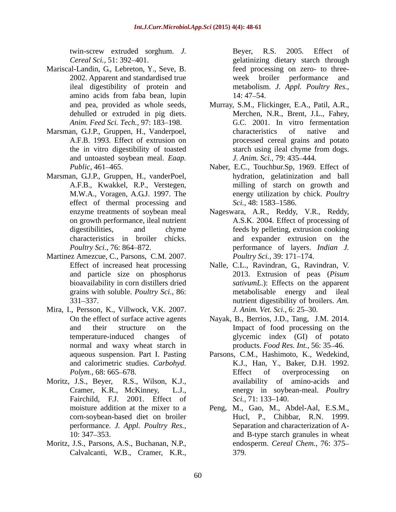twin-screw extruded sorghum. *J.* 

- Mariscal-Landin, G., Lebreton, Y., Seve, B. 2002. Apparent and standardised true Theorem week broiler performance and amino acids from faba bean, lupin
- and untoasted soybean meal. *Eaap*. *J. Anim. Sci.*, 79: 435–444.
- Marsman, G.J.P., Gruppen, H., vanderPoel, effect of thermal processing and Sci., 48: 1583–1586.
- Martinez Amezcue, C., Parsons, C.M. 2007. *Poultry Sci.*, 39: 171–174. grains with soluble. *Poultry Sci.,* 86:
- Mira, I., Persson, K., Villwock, V.K. 2007. *J. Anim. Vet. Sci.*, 6: 25–30. normal and waxy wheat starch in
- Moritz, J.S., Beyer, R.S., Wilson, K.J., Fairchild, F.J. 2001. Effect of *Sci.*, 71: 133–140.
- Moritz, J.S., Parsons, A.S., Buchanan, N.P., Calvalcanti, W.B., Cramer, K.R.,

*Cereal Sci.,* 51: 392 401. gelatinizing dietary starch through ileal digestibility of protein and metabolism. *J. Appl. Poultry Res.,* Beyer, R.S. 2005. Effect of feed processing on zero- to three week broiler performance 14: 47–54.

- and pea, provided as whole seeds, Murray, S.M., Flickinger, E.A., Patil, A.R., dehulled or extruded in pig diets. Merchen, N.R., Brent, J.L., Fahey, *Anim. Feed Sci. Tech., 97: 183-198.* **G.C. 2001.** In vitro fermentation Marsman, G.J.P., Gruppen, H., Vanderpoel, characteristics of native and A.F.B. 1993. Effect of extrusion on processed cereal grains and potato the in vitro digestibility of toasted Merchen, N.R., Brent, J.L., Fahey, G.C. 2001. In vitro fermentation characteristics of native and processed cereal grains and potato starch using ileal chyme from dogs. *J. Anim. Sci.,* 79: 435 444.
	- Public, 461–465. Naber, E.C., Touchbur.Sp, 1969. Effect of A.F.B., Kwakkel, R.P., Verstegen, milling of starch on growth and M.W.A., Voragen, A.G.J. 1997. The energy utilization by chick. *Poultry* hydration, gelatinization and ball milling of starch on growth and energy utilization by chick. *Poultry Sci.,* 48: 1583–1586.
	- enzyme treatments of soybean meal Nageswara, A.R., Reddy, V.R., Reddy, on growth performance, ileal nutrient A.S.K. 2004. Effect of processing of digestibilities, and chyme feeds by pelleting, extrusion cooking characteristics in broiler chicks. and expander extrusion on the *Poultry Sci.,* 76: 864 872. performance of layers. *Indian J.* Nageswara, A.R., Reddy, V.R., Reddy, A.S.K. 2004. Effect of processing of *Poultry Sci., 39: 171–174.*
	- Effect of increased heat processing Nalle, C.L., Ravindran, G., Ravindran, V. and particle size on phosphorus 2013. Extrusion of peas (Pisum bioavailability in corn distillers dried *sativumL*.): Effects on the apparent 331 337. nutrient digestibility of broilers. *Am.*  2013. Extrusion of peas (*Pisum* metabolisable energy and ileal *J. Anim. Vet. Sci., 6:* 25–30.
	- On the effect of surface active agents Nayak, B., Berrios, J.D., Tang, J.M. 2014. and their structure on the Impact of food processing on the temperature-induced changes of glycemic index (GI) of potato products. *Food Res. Int.,* 56: 35 46.
	- aqueous suspension. Part I. Pasting Parsons, C.M., Hashimoto, K., Wedekind, and calorimetric studies. *Carbohyd.* K.J., Han, Y., Baker, D.H. 1992. *Polym.*, 68: 665–678. **Effect** of overprocessing on Cramer, K.R., McKinney, L.J., energy in soybean-meal. *Poultry*  Effect of overprocessing on availability of amino-acids and *Sci.,* 71: 133–140.
	- moisture addition at the mixer to a<br>
	corn-soybean-based diet on broiler Hucl, P., Chibbar, R.N. 1999. corn-soybean-based diet on broiler performance. *J. Appl. Poultry Res.,* Separation and characterization of A- 10: 347 353. and B-type starch granules in wheat endosperm. *Cereal Chem.,* 76: 375 379.